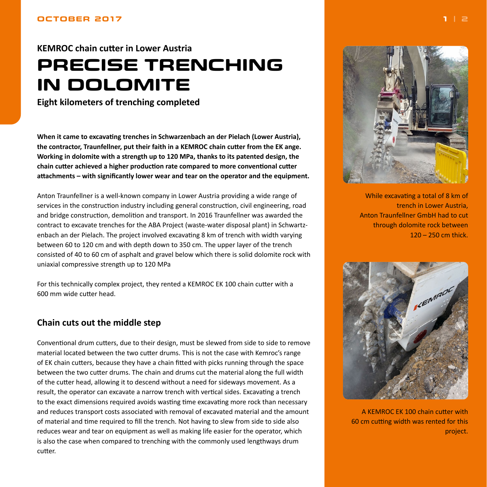### <span id="page-0-0"></span>**OCTOBER 2017**

# **KEMROC chain cutter in Lower Austria PRECISE TRENCHING IN DOLOMITE**

**Eight kilometers of trenching completed**

**When it came to excavating trenches in Schwarzenbach an der Pielach (Lower Austria), the contractor, Traunfellner, put their faith in a KEMROC chain cutter from the EK ange. Working in dolomite with a strength up to 120 MPa, thanks to its patented design, the chain cutter achieved a higher production rate compared to more conventional cutter attachments – with significantly lower wear and tear on the operator and the equipment.**

Anton Traunfellner is a well-known company in Lower Austria providing a wide range of services in the construction industry including general construction, civil engineering, road and bridge construction, demolition and transport. In 2016 Traunfellner was awarded the contract to excavate trenches for the ABA Project (waste-water disposal plant) in Schwartzenbach an der Pielach. The project involved excavating 8 km of trench with width varying between 60 to 120 cm and with depth down to 350 cm. The upper layer of the trench consisted of 40 to 60 cm of asphalt and gravel below which there is solid dolomite rock with uniaxial compressive strength up to 120 MPa

For this technically complex project, they rented a KEMROC EK 100 chain cutter with a 600 mm wide cutter head.

# **Chain cuts out the middle step**

Conventional drum cutters, due to their design, must be slewed from side to side to remove material located between the two cutter drums. This is not the case with Kemroc's range of EK chain cutters, because they have a chain fitted with picks running through the space between the two cutter drums. The chain and drums cut the material along the full width of the cutter head, allowing it to descend without a need for sideways movement. As a result, the operator can excavate a narrow trench with vertical sides. Excavating a trench to the exact dimensions required avoids wasting time excavating more rock than necessary and reduces transport costs associated with removal of excavated material and the amount of material and time required to fill the trench. Not having to slew from side to side also reduces wear and tear on equipment as well as making life easier for the operator, which is also the case when compared to trenching with the commonly used lengthways drum cutter.



While excavating a total of 8 km of trench in Lower Austria, Anton Traunfellner GmbH had to cut through dolomite rock between 120 – 250 cm thick.



A KEMROC EK 100 chain cutter with 60 cm cutting width was rented for this project.